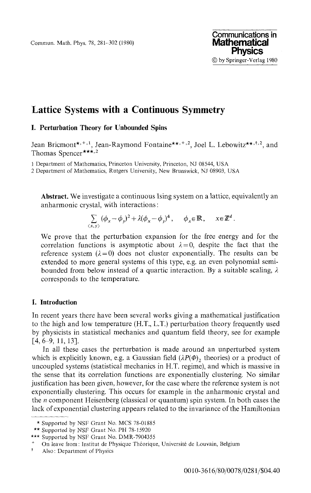Commun. Math. Phys. 78, 281-302 (1980)

# Lattice Systems with a Continuous Symmetry

## **I. Perturbation Theory for Unbounded Spins**

Jean Bricmont<sup>\*\*, 1</sup>, Jean-Raymond Fontaine<sup>\*\*, +, 2</sup>, Joel L. Lebowitz<sup>\*\*, †, 2</sup>, and Thomas Spencer\*\*\*.<sup>2</sup>

1 Department of Mathematics, Princeton University, Princeton, NJ 08544, USA

2 Department of Mathematics, Rutgers University, New Brunswick, NJ 08903, USA

**Abstract.** We investigate a continuous Ising system on a lattice, equivalently an anharmonic crystal, with interactions:

$$
\sum_{(x,y)} (\phi_x - \phi_y)^2 + \lambda (\phi_x - \phi_y)^4, \quad \phi_x \in \mathbb{R}, \quad x \in \mathbb{Z}^d.
$$

We prove that the perturbation expansion for the free energy and for the correlation functions is asymptotic about  $\lambda = 0$ , despite the fact that the reference system  $(\lambda = 0)$  does not cluster exponentially. The results can be extended to more general systems of this type, e.g. an even polynomial semi bounded from below instead of a quartic interaction. By a suitable scaling, *λ* corresponds to the temperature.

# **I. Introduction**

In recent years there have been several works giving a mathematical justification to the high and low temperature (H.T., L.T.) perturbation theory frequently used by physicists in statistical mechanics and quantum field theory, see for example [4,6-9,11,13].

In all these cases the perturbation is made around an unperturbed system which is explicitly known, e.g. a Gaussian field  $(\lambda P(\Phi)_2)$  theories) or a product of uncoupled systems (statistical mechanics in H.T. regime), and which is massive in the sense that its correlation functions are exponentially clustering. No similar justification has been given, however, for the case where the reference system is not exponentially clustering. This occurs for example in the anharmonic crystal and the *n* component Heisenberg (classical or quantum) spin system. In both cases the lack of exponential clustering appears related to the invariance of the Hamiltonian

<sup>\*</sup> Supported by NSF Grant No. MCS 78-01885

<sup>\*\*</sup> Supported by NSF Grant No. PH 78-15920

<sup>\*\*\*</sup> Supported by NSF Grant No. DMR-7904355

<sup>+</sup> On leave from: Institut de Physique Theorique, Universite de Louvain, Belgium

f Also: Department of Physics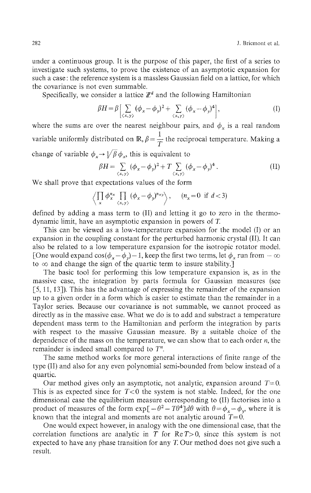under a continuous group. It is the purpose of this paper, the first of a series to investigate such systems, to prove the existence of an asymptotic expansion for such a case: the reference system is a massless Gaussian field on a lattice, for which the covariance is not even summable.

Specifically, we consider a lattice  $\mathbb{Z}^d$  and the following Hamiltonian

$$
\beta H = \beta \left[ \sum_{\langle x, y \rangle} (\phi_x - \phi_y)^2 + \sum_{\langle x, y \rangle} (\phi_x - \phi_y)^4 \right], \tag{I}
$$

where the sums are over the nearest neighbour pairs, and  $\phi_x$  is a real random variable uniformly distributed on  $\mathbb{R}, \beta = \frac{1}{T}$  the reciprocal temperature. Making a change of variable  $\phi_x \rightarrow \sqrt{\beta} \, \phi_x$ , this is equivalent to

$$
\beta H = \sum_{\langle x, y \rangle} (\phi_x - \phi_y)^2 + T \sum_{\langle x, y \rangle} (\phi_x - \phi_y)^4. \tag{II}
$$

We shall prove that expectations values of the form

$$
\left\langle \prod_{x} \phi_x^{n_x} \prod_{\langle x, y \rangle} (\phi_x - \phi_y)^{n_{xy}} \right\rangle, \quad (n_x = 0 \text{ if } d < 3)
$$

defined by adding a mass term to (II) and letting it go to zero in the thermo dynamic limit, have an asymptotic expansion in powers of *T.*

This can be viewed as a low-temperature expansion for the model (I) or an expansion in the coupling constant for the perturbed harmonic crystal (II). It can also be related to a low temperature expansion for the isotropic rotator model. [One would expand  $\cos(\phi_x - \phi_y) - 1$ , keep the first two terms, let  $\phi_x$  run from  $-\infty$ to  $\infty$  and change the sign of the quartic term to insure stability.]

The basic tool for performing this low temperature expansion is, as in the massive case, the integration by parts formula for Gaussian measures (see [5, 11, 13]). This has the advantage of expressing the remainder of the expansion up to a given order in a form which is easier to estimate than the remainder in a Taylor series. Because our covariance is not summable, we cannot proceed as directly as in the massive case. What we do is to add and substract a temperature dependent mass term to the Hamiltonian and perform the integration by parts with respect to the massive Gaussian measure. By a suitable choice of the dependence of the mass on the temperature, we can show that to each order *n,* the remainder is indeed small compared to *T<sup>n</sup>*

The same method works for more general interactions of finite range of the type (II) and also for any even polynomial semi-bounded from below instead of a quartic.

Our method gives only an asymptotic, not analytic, expansion around  $T=0$ . This is as expected since for  $T<0$  the system is not stable. Indeed, for the one dimensional case the equilibrium measure corresponding to (II) factorises into a product of measures of the form  $exp[-\theta^2 - T\theta^4]d\theta$  with  $\theta = \phi_x - \phi_y$ , where it is known that the integral and moments are not analytic around  $T=0$ .

One would expect however, in analogy with the one dimensional case, that the correlation functions are analytic in  $T$  for  $Re T > 0$ , since this system is not expected to have any phase transition for any T. Our method does not give such a result.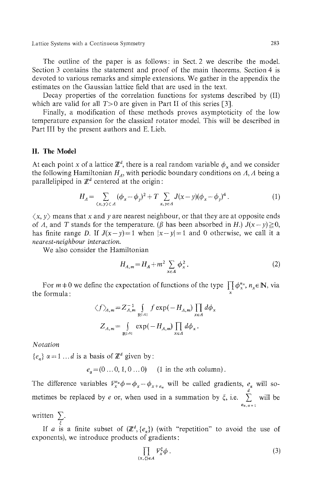The outline of the paper is as follows: in Sect. 2 we describe the model. Section 3 contains the statement and proof of the main theorems. Section 4 is devoted to various remarks and simple extensions. We gather in the appendix the estimates on the Gaussian lattice field that are used in the text.

Decay properties of the correlation functions for systems described by (II) which are valid for all  $T>0$  are given in Part II of this series [3].

Finally, a modification of these methods proves asymptoticity of the low temperature expansion for the classical rotator model. This will be described in Part III by the present authors and E. Lieb.

## **II. The Model**

At each point *x* of a lattice  $\mathbb{Z}^d$ , there is a real random variable  $\phi_x$  and we consider the following Hamiltonian  $H_A$ , with periodic boundary conditions on  $A$ ,  $A$  being a parallelipiped in  $\mathbb{Z}^d$  centered at the origin:

$$
H_A = \sum_{(x,y) \in A} (\phi_x - \phi_y)^2 + T \sum_{x,y \in A} J(x-y) (\phi_x - \phi_y)^4.
$$
 (1)

 $\langle x, y \rangle$  means that x and y are nearest neighbour, or that they are at opposite ends of *A*, and *T* stands for the temperature, (*β* has been absorbed in *H*.)  $J(x - y) \ge 0$ , has finite range *D*. If  $J(x - y) = 1$  when  $|x - y| = 1$  and 0 otherwise, we call it a *nearest-neighbour interaction.*

We also consider the Hamiltonian

$$
H_{A,m} = H_A + m^2 \sum_{x \in A} \phi_x^2.
$$
 (2)

For  $m+0$  we define the expectation of functions of the type  $\prod_{x} \phi_x^{n_x}$ ,  $n_x \in \mathbb{N}$ , via the formula:

$$
\langle f \rangle_{A,m} = Z_{A,m}^{-1} \int_{\mathbb{R}^{\lfloor A \rfloor}} f \exp(-H_{A,m}) \prod_{x \in A} d\phi_x
$$
  

$$
Z_{A,m} = \int_{\mathbb{R}^{\lfloor A \rfloor}} \exp(-H_{A,m}) \prod_{x \in A} d\phi_x.
$$

*Notation*

 ${e_{\alpha}}$   $\alpha = 1 ... d$  is a basis of  $\mathbb{Z}^d$  given by:

 $e_{\alpha} = (0 \dots 0, 1, 0 \dots 0)$  (1 in the  $\alpha$ th column).

The difference variables  $V_x^e \phi = \phi_x - \phi_{x+e_\alpha}$  will be called gradients,  $e_\alpha$  will so *d* metimes be replaced by *e* or, when used in a summation by  $\xi$ , i.e.  $\sum_{n=1}^d$  will be

written  $\sum_{\varepsilon}$ .

If *a* is a finite subset of  $(\mathbb{Z}^d, \{e_\alpha\})$  (with "repetition" to avoid the use of exponents), we introduce products of gradients:

$$
\prod_{(x,\xi)\in A} V_x^{\xi} \phi . \tag{3}
$$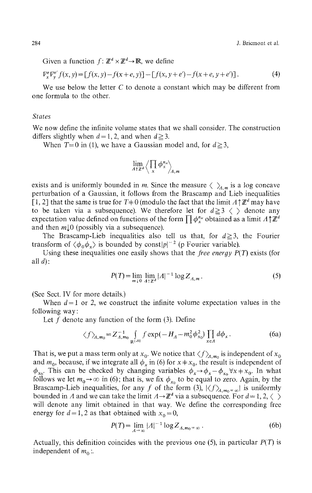Given a function  $f: \mathbb{Z}^d \times \mathbb{Z}^d \to \mathbb{R}$ , we define

$$
\nabla_x^e \nabla_y^{e'} f(x, y) = [f(x, y) - f(x + e, y)] - [f(x, y + e') - f(x + e, y + e')] \,. \tag{4}
$$

We use below the letter *C* to denote a constant which may be different from one formula to the other.

#### *States*

We now define the infinite volume states that we shall consider. The construction differs slightly when  $d=1, 2$ , and when  $d\geq 3$ .

When  $T=0$  in (1), we have a Gaussian model and, for  $d\geq 3$ ,

$$
\lim_{A \uparrow \mathbb{Z}^d} \left\langle \prod_x \phi_x^{n_x} \right\rangle_{A,m}
$$

exists and is uniformly bounded in *m*. Since the measure  $\langle \ \ \rangle_{A,m}$  is a log concave perturbation of a Gaussian, it follows from the Brascamp and Lieb inequalities [1, 2] that the same is true for  $T+0$  (modulo the fact that the limit  $A\mathord{\uparrow} \mathbb{Z}^d$  may have to be taken via a subsequence). We therefore let for  $d \ge 3 \langle \rangle$  denote any expectation value defined on functions of the form  $\prod \phi_x^{n_x}$  obtained as a limit  $A\mathord{\uparrow}\mathbb{Z}^d$ and then  $m\downarrow 0$  (possibly via a subsequence).

The Brascamp-Lieb inequalities also tell us that, for  $d \ge 3$ , the Fourier transform of  $\langle \phi_0 \phi_x \rangle$  is bounded by const $|p|^{-2}$  (p Fourier variable).

Using these inequalities one easily shows that the *free energy P(T)* exists (for all  $d$ :

$$
P(T) = \lim_{m \downarrow 0} \lim_{A \uparrow \mathbb{Z}^d} |A|^{-1} \log Z_{A,m} \,. \tag{5}
$$

(See Sect. IV for more details.)

When  $d=1$  or 2, we construct the infinite volume expectation values in the following way:

Let  $f$  denote any function of the form  $(3)$ . Define

$$
\langle f \rangle_{A,m_0} = Z_{A,m_0}^{-1} \int_{\mathbb{R}^{\lfloor A \rfloor}} f \exp(-H_A - m_0^2 \phi_{x_0}^2) \prod_{x \in A} d\phi_x. \tag{6a}
$$

That is, we put a mass term only at  $x_0$ . We notice that  $\langle f \rangle_{\!\! A, m_0}$  is independent of  $x_0$ and  $m_0$ , because, if we integrate all  $\phi_x$  in (6) for  $x \neq x_0$ , the result is independent of *x*<sub>0</sub>. This can be checked by changing variables  $\phi_x \rightarrow \phi_x - \phi_x$   $\forall x \neq x_0$ . In what follows we let  $m_0 \to \infty$  in (6); that is, we fix  $\phi_{x_0}$  to be equal to zero. Again, by the Brascamp-Lieb inequalities, for any f of the form (3),  $|\langle f \rangle_{A,m_0=\infty}|$  is uniformly bounded in A and we can take the limit  $A \rightarrow \mathbb{Z}^d$  via a subsequence. For  $d = 1, 2, \langle \rangle$ will denote any limit obtained in that way. We define the corresponding free energy for  $d=1, 2$  as that obtained with  $x_0=0$ ,

$$
P(T) = \lim_{A \to \infty} |A|^{-1} \log Z_{A, m_0 = \infty} \,. \tag{6b}
$$

Actually, this definition coincides with the previous one (5), in particular *P{T)* is independent of  $m_0$ :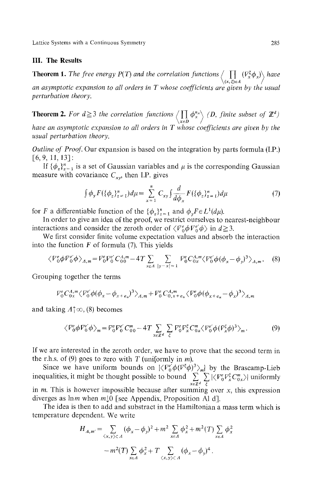## **III. The Results**

**Theorem 1.** The free energy P(T) and the correlation functions  $\langle \prod (V_x^{\xi} \phi_x) \rangle$  have  $\left\langle (x,\xi)\in A\right\rangle$  /

*an asymptotic expansion to all orders in T whose coefficients are given by the usual perturbation theory.*

**Theorem 2.** For  $d \geq 3$  the correlation functions  $\langle \prod \phi_x^{n_x} \rangle$  (D, finite subset of  $\mathbb{Z}^d$ )  $\chi_{\varepsilon}$ *D | | have an asymptotic expansion to all orders in T whose coefficients are given by the usual perturbation theory.*

*Outline of Proof.* Our expansion is based on the integration by parts formula (I.P.) [6,9,11,13]:

If  $\{\phi_z\}_{z=1}^n$  is a set of Gaussian variables and  $\mu$  is the corresponding Gaussian measure with covariance  $C_{xy}$ , then I.P. gives

$$
\int \phi_y F(\{\phi_z\}_{z=1}^n) d\mu = \sum_{x=1}^n C_{xy} \int \frac{d}{d\phi_x} F(\{\phi_z\}_{z=1}^n) d\mu \tag{7}
$$

for *F* a differentiable function of the  $\{\phi_z\}_{z=1}^n$  and  $\phi_y F \in L^1(d\mu)$ .

In order to give an idea of the proof, we restrict ourselves to nearest-neighbour interactions and consider the zeroth order of  $\langle V^e_0 \phi V^e_0 \phi \rangle$  in  $d \ge 3$ .

We first consider finite volume expectation values and absorb the interaction into the function *F* of formula (7). This yields

$$
\langle V_0^e \phi V_0^e' \phi \rangle_{A,m} = V_0^e V_0^e C_{00}^{A,m} - 4T \sum_{x \in A} \sum_{|y-x| = 1} V_0^e C_{0x}^{A,m} \langle V_0^e' \phi (\phi_x - \phi_y)^3 \rangle_{A,m}. \tag{8}
$$

Grouping together the terms

$$
{\cal V}^e_0 C^{A,m}_{0x} \langle {\cal V}^e_0 \phi (\phi_x - \phi_{x+e_x})^3 \rangle_{A,m} + {\cal V}^e_0 C^{A,m}_{0,x+e_x} \langle {\cal V}^e_0 \phi (\phi_{x+e_x} - \phi_x)^3 \rangle_{A,m}
$$

and taking  $\Lambda \uparrow \infty$ , (8) becomes

$$
\langle \nabla_0^e \phi \nabla_0^e' \phi \rangle_m = \nabla_0^e \nabla_0^e C_{00}^m - 4T \sum_{x \in \mathbb{Z}^d} \sum_{\xi} \nabla_0^e \nabla_x^{\xi} C_{0x}^m \langle \nabla_0^e' \phi (\nabla_x^{\xi} \phi)^3 \rangle_m. \tag{9}
$$

If we are interested in the zeroth order, we have to prove that the second term in the r.h.s. of (9) goes to zero with T (uniformly in m).

Since we have uniform bounds on  $\langle V_0^e \phi (V^{\xi} \phi)^3 \rangle_m$  by the Brascamp-Lieb inequalities, it might be thought possible to bound  $\sum_{x \in \mathbb{Z}^d} \sum_{\xi} |\langle V_0^e V_x^{\xi} C_{0x}^m \rangle|$  uniformly in *m.* This is however impossible because after summing over *x,* this expression diverges as him when *m[0* [see Appendix, Proposition Al d].

The idea is then to add and substract in the Hamiltonian a mass term which is temperature dependent. We write

$$
H_{A,m'} = \sum_{\langle x,y \rangle \subset A} (\phi_x - \phi_y)^2 + m^2 \sum_{x \in A} \phi_x^2 + m^2(T) \sum_{x \in A} \phi_x^2
$$
  
- 
$$
m^2(T) \sum_{x \in A} \phi_x^2 + T \sum_{\langle x,y \rangle \subset A} (\phi_x - \phi_y)^4.
$$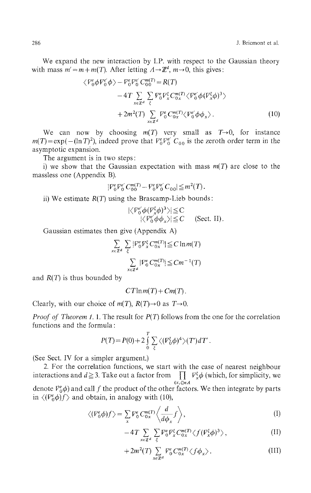We expand the new interaction by I.P. with respect to the Gaussian theory with mass  $m' = m + m(T)$ . After letting  $A \rightarrow \mathbb{Z}^d$ ,  $m \rightarrow 0$ , this gives:

$$
\langle V_0^e \phi V_0^e' \phi \rangle - V_0^e V_0^e' C_0^{m(T)} = R(T)
$$
  
\n
$$
-4T \sum_{x \in \mathbb{Z}^d} \sum_{\xi} V_0^e V_x^{\xi} C_0^{m(T)} \langle V_0^e' \phi (V_x^{\xi} \phi)^3 \rangle
$$
  
\n
$$
+ 2m^2(T) \sum_{x \in \mathbb{Z}^d} V_0^e C_0^{m(T)} \langle V_0^e' \phi \phi_x \rangle.
$$
 (10)

We can now by choosing  $m(T)$  very small as  $T\rightarrow 0$ , for instance  $=\exp(-( \ln T)^2)$ , indeed prove that  $V_0^e V_0^e$  C<sub>00</sub> is the zeroth order term in the asymptotic expansion.

The argument is in two steps:

i) we show that the Gaussian expectation with mass *m(T)* are close to the massless one (Appendix B).

$$
|\mathcal{V}_0^e \mathcal{V}_0^{e'} C_{00}^{m(T)} - \mathcal{V}_0^e \mathcal{V}_0^{e'} C_{00}| \leq m^2(T).
$$

ii) We estimate *R(T)* using the Brascamp-Lieb bounds:

$$
|\langle \mathcal{V}_0^{e'} \phi(\mathcal{V}_x^{\xi} \phi)^3 \rangle| \leq C
$$
  
 
$$
|\langle \mathcal{V}_0^{e'} \phi \phi_x \rangle| \leq C
$$
 (Sect. II).

Gaussian estimates then give (Appendix A)

$$
\sum_{x \in \mathbb{Z}^d} \sum_{\xi} |F_0^e F_x^{\xi} C_{0x}^{m(T)}| \leq C \ln m(T)
$$
  

$$
\sum_{x \in \mathbb{Z}^d} |F_0^e C_{0x}^{m(T)}| \leq Cm^{-1}(T)
$$

and *R(T)* is thus bounded by

$$
CT\ln m(T) + Cm(T).
$$

Clearly, with our choice of  $m(T)$ ,  $R(T) \rightarrow 0$  as  $T \rightarrow 0$ .

*Proof of Theorem 1.1.* The result for  $P(T)$  follows from the one for the correlation functions and the formula:

$$
P(T) = P(0) + 2 \int_{0}^{T} \sum_{\xi} \langle (F_0^{\xi} \phi)^4 \rangle (T') dT'.
$$

(See Sect. IV for a simpler argument.)

2. For the correlation functions, we start with the case of nearest neighbour interactions and  $d \ge 3$ . Take out a factor from  $\prod_{x} V_x^{\xi} \phi$  (which, for simplicity, we *(x,ξ)eA* denote  $V^e_0\phi$ ) and call  $f$  the product of the other factors. We then integrate by parts in  $\langle (V_0^e \phi) f \rangle$  and obtain, in analogy with (10),

$$
\langle (V_0^e \phi) f \rangle = \sum_x V_0^e C_{0x}^{m(T)} \left\langle \frac{d}{d\phi_x} f \right\rangle, \tag{I}
$$

$$
-4T\sum_{x\in\mathbb{Z}^d}\sum_{\xi}V_0^eV_x^{\xi}C_{0x}^{m(T)}\langle f(V_x^{\xi}\phi)^3\rangle,\tag{II}
$$

$$
+2m^2(T)\sum_{x\in\mathbb{Z}^d}V_0^e C_{0x}^{m(T)}\langle f\phi_x\rangle.
$$
 (III)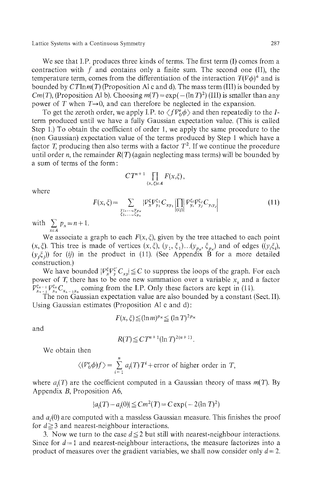We see that I.P. produces three kinds of terms. The first term (I) comes from a contraction with  $f$  and contains only a finite sum. The second one (II), the temperature term, comes from the differentiation of the interaction  $T(\nabla \phi)^4$  and is bounded by  $C T \ln m(T)$  (Proposition Al c and d). The mass term (III) is bounded by *Cm*(*T*), (Proposition Al b). Choosing  $m(T) = \exp(-(ln T)^2)$  (III) is smaller than any power of T when  $T\rightarrow 0$ , and can therefore be neglected in the expansion.

To get the zeroth order, we apply I.P. to  $\langle fV_0^e\phi\rangle$  and then repeatedly to the *I*term produced until we have a fully Gaussian expectation value. (This is called Step 1.) To obtain the coefficient of order 1, we apply the same procedure to the (non Gaussian) expectation value of the terms produced by Step 1 which have a factor *T*, producing then also terms with a factor  $T^2$ . If we continue the procedure until order *n,* the remainder *R(T)* (again neglecting mass terms) will be bounded by a sum of terms of the form:

$$
CT^{n+1}\prod_{(x,\xi)\in A}F(x,\xi),
$$

where

$$
F(x,\xi) = \sum_{\substack{y_1,\ldots,y_{p_x} \\ \xi_1,\ldots,\xi_{p_x}}} |\nabla_x^{\xi} \nabla_{y_1}^{\xi_1} C_{xy_1}| \prod_{(i,j)} |\nabla_{y_i}^{\xi_i} \nabla_{y_j}^{\xi_j} C_{y_iy_j}| \tag{11}
$$

with  $\sum_{x \in A} p_x = n + 1$ 

We associate a graph to each  $F(x, \zeta)$ , given by the tree attached to each point (x,  $\xi$ ). This tree is made of vertices  $(x, \xi)$ ,  $(y_1, \xi_1) \dots (y_{p_x}, \xi_{p_x})$  and of edges  $((y_i \xi_i)$ ,  $(y_i\xi_i)$ ) for (ij) in the product in (11). (See Appendix B for a more detailed construction.)

We have bounded  $|V_r^{\xi}V_r^{\xi'}C_{\tau}|\leq C$  to suppress the loops of the graph. For each power of *T,* there has to be one new summation over a variable *x<sup>s</sup>* and a factor  $V^{\xi_{s-1}}_{x_{s-1}} V^{\xi_s}_{x_s} C_{x_{s-1}x_s}$  coming from the I.P. Only these factors are kept in (11).

The non Gaussian expectation value are also bounded by a constant (Sect. II). Using Gaussian estimates (Proposition Al c and d):

$$
F(x,\xi) \leq (\ln m)^{p_x} \leq (\ln T)^{2p_x}
$$

and

$$
R(T) \leq C T^{n+1} (\ln T)^{2(n+1)}.
$$

We obtain then

$$
\langle (V_0^e \phi) f \rangle = \sum_{i=1}^n a_i(T) T^i + \text{error of higher order in } T,
$$

where  $a_i(T)$  are the coefficient computed in a Gaussian theory of mass  $m(T)$ . By Appendix *B,* Proposition A6,

$$
|a_i(T) - a_i(0)| \leq Cm^2(T) = C \exp(-2(\ln T)^2)
$$

and  $a_i(0)$  are computed with a massless Gaussian measure. This finishes the proof for  $d \geq 3$  and nearest-neighbour interactions.

3. Now we turn to the case  $d \leq 2$  but still with nearest-neighbour interactions. Since for  $d=1$  and nearest-neighbour interactions, the measure factorizes into a product of measures over the gradient variables, we shall now consider only *d = 2.*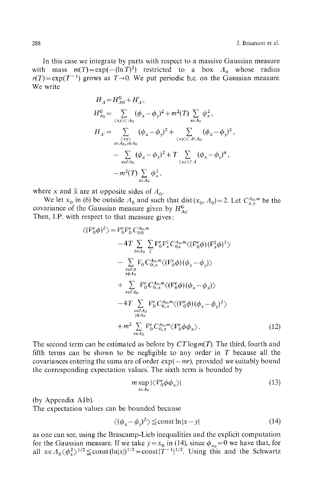In this case we integrate by parts with respect to a massive Gaussian measure with mass  $m(T) = \exp(-(ln T)^2)$  restricted to a box  $A_0$  whose radius  $r(T) = \exp(T^{-1})$  grows as  $T \rightarrow 0$ . We put periodic b.c. on the Gaussian measure. We write

$$
H_{A} = H_{A0}^{G} + H'_{A},
$$
  
\n
$$
H_{A0}^{G} = \sum_{\langle xy \rangle \subset A_0} (\phi_x - \phi_y)^2 + m^2(T) \sum_{x \in A_0} \phi_x^2,
$$
  
\n
$$
H_{A'} = \sum_{\substack{\langle xy \rangle \langle x \rangle \subset A \setminus A_0 \\ x \in A_0, y \notin A_0}} (\phi_x - \phi_y)^2 + \sum_{\langle xy \rangle \subset A \setminus A_0} (\phi_x - \phi_y)^2,
$$
  
\n
$$
- \sum_{x \in A_0} (\phi_x - \phi_{\bar{x}})^2 + T \sum_{\langle xy \rangle \subset A} (\phi_x - \phi_y)^4,
$$
  
\n
$$
- m^2(T) \sum_{x \in A_0} \phi_x^2,
$$

where x and  $\bar{x}$  are at opposite sides of  $\Lambda_0$ .

We let  $x_0$  in (6) be outside  $A_0$  and such that dist( $x_0$ ,  $A_0$ ) = 2. Let  $C^{A_0,m}_{x,y}$  be the covariance of the Gaussian measure given by  $H^G_{A_0}$ . Then, I.P. with respect to that measure gives:

$$
\langle (V_0^e \phi)^2 \rangle = V_0^e V_0^e C_{00}^{A_0, m}
$$
  
\n
$$
-4T \sum_{x \in A_0} \sum_{\xi} V_0^e V_x^{\xi} C_{0x}^{A_0, m} \langle (V_0^e \phi)(V_x^{\xi} \phi)^3 \rangle
$$
  
\n
$$
- \sum_{\substack{x \in \partial A \\ y \neq A_0}} V_0 C_{0,x}^{A_0, m} \langle (V_0^e \phi)(\phi_x - \phi_y) \rangle
$$
  
\n
$$
+ \sum_{\substack{x \in \partial A_0 \\ x \neq A_0}} V_0^e C_{0,x}^{A_0, m} \langle (V_0^e \phi)(\phi_x - \phi_{\overline{x}}) \rangle
$$
  
\n
$$
-4T \sum_{\substack{x \in \partial A_0 \\ y \neq A_0}} V_0^e C_{0,x}^{A_0, m} \langle (V_0^e \phi)(\phi_x - \phi_y)^3 \rangle
$$
  
\n
$$
+ m^2 \sum_{x \in A_0} V_0^e C_{0,x}^{A_0, m} \langle V_0^e \phi \phi_x \rangle.
$$
 (12)

The second term can be estimated as before by  $CT\log(m(T))$ . The third, fourth and fifth terms can be shown to be negligible to any order in *T* because all the covariances entering the sums are of order  $exp(-mr)$ , provided we suitably bound the corresponding expectation values. The sixth term is bounded by

$$
m \sup_{x \in \Lambda_0} |\langle \mathcal{V}_0^e \phi \phi_x \rangle| \tag{13}
$$

(by Appendix Alb).

The expectation values can be bounded because

$$
\langle (\phi_x - \phi_y)^2 \rangle \le \text{const} \ln|x - y| \tag{14}
$$

as one can see, using the Brascamp-Lieb inequalities and the explicit computation for the Gaussian measure. If we take  $y = x_0$  in (14), since  $\phi_{x_0} = 0$  we have that, for all  $x \in A_0 \langle \phi_x^2 \rangle^{1/2} \leq \text{const}( \ln |x|)^{1/2} = \text{const} |T^{-1}|^{1/2}$ . Using this and the Schwartz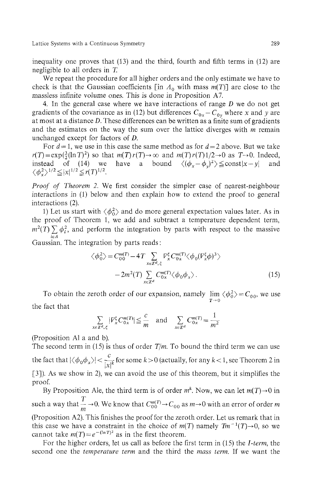inequality one proves that (13) and the third, fourth and fifth terms in (12) are negligible to all orders in *T.*

We repeat the procedure for all higher orders and the only estimate we have to check is that the Gaussian coefficients [in  $\Lambda_0$  with mass  $m(T)$ ] are close to the massless infinite volume ones. This is done in Proposition A7.

4. In the general case where we have interactions of range *D* we do not get gradients of the covariance as in (12) but differences  $C_{0x} - C_{0y}$  where x and y are at most at a distance *D.* These differences can be written as a finite sum of gradients and the estimates on the way the sum over the lattice diverges with m remain unchanged except for factors of D.

For  $d = 1$ , we use in this case the same method as for  $d = 2$  above. But we take  $r(T) = \exp(\frac{3}{2}(\ln T)^2)$  so that  $m(T)r(T) \rightarrow \infty$  and  $m(T)r(T)1/2 \rightarrow 0$  as  $T \rightarrow 0$ . Indeed, instead of (14) we have a bound  $\langle (\phi_x - \phi_y)^2 \rangle \leq \text{const}|x - y|$  and

*Proof of Theorem 2.* We first consider the simpler case of nearest-neighbour interactions in (1) below and then explain how to extend the proof to general interactions (2).

1) Let us start with  $\langle \phi_0^2 \rangle$  and do more general expectation values later. As in the proof of Theorem 1, we add and subtract a temperature dependent term,  $m^2(T)$   $\sum \phi_i^2$ , and perform the integration by parts with respect to the massive

Gaussian. The integration by parts reads:

$$
\langle \phi_0^2 \rangle = C_{00}^{m(T)} - 4T \sum_{x \in \mathbb{Z}^d, \xi} F_x^{\xi} C_{0x}^{m(T)} \langle \phi_0 (V_x^{\xi} \phi)^3 \rangle
$$
  

$$
-2m^2(T) \sum_{x \in \mathbb{Z}^d} C_{0x}^{m(T)} \langle \phi_0 \phi_x \rangle.
$$
 (15)

To obtain the zeroth order of our expansion, namely  $\lim_{T\to 0} \langle \phi_0^2 \rangle = C_{00}$ , we use the fact that

$$
\sum_{x \in \mathbb{Z}^d, \zeta} |V_x^{\zeta} C_{0x}^{m(T)}| \leq \frac{c}{m} \quad \text{and} \quad \sum_{x \in \mathbb{Z}^d} C_{0x}^{m(T)} = \frac{1}{m^2}
$$

(Proposition Al a and b).

The second term in (15) is thus of order  $T/m$ . To bound the third term we can use the fact that  $|\langle \phi_0 \phi_x \rangle| < \frac{c}{\ln k}$  for some  $k>0$  (actually, for any  $k<1$ , see Theorem 2 in [3]). As we show in 2), we can avoid the use of this theorem, but it simplifies the proof.

By Proposition Ale, the third term is of order  $m^k$ . Now, we can let  $m(T) \rightarrow 0$  in such a way that  $\frac{T}{m}$   $\rightarrow$  0. We know that  $C^{m(T)}_{00}$   $\rightarrow$   $C_{00}$  as  $m \rightarrow$  0 with an error of order m (Proposition A2). This finishes the proof for the zeroth order. Let us remark that in this case we have a constraint in the choice of  $m(T)$  namely  $Tm^{-1}(T) \rightarrow 0$ , so we cannot take  $m(T) = e^{-(\ln T)^2}$  as in the first theorem.

For the higher orders, let us call as before the first term in (15) the *I-term,* the second one the *temperature term* and the third the *mass term.* If we want the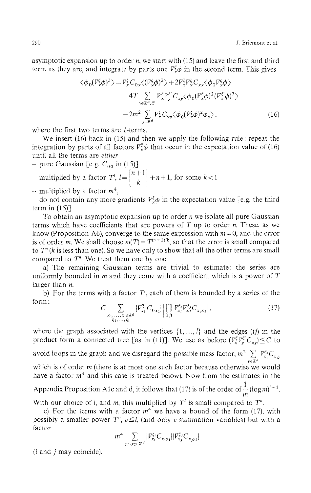asymptotic expansion up to order *n,* we start with (15) and leave the first and third term as they are, and integrate by parts one  $V_x^{\xi} \phi$  in the second term. This gives

$$
\langle \phi_0 (V_x^{\xi} \phi)^3 \rangle = V_x^{\xi} C_{0x} \langle (V_x^{\xi} \phi)^2 \rangle + 2V_x^{\xi} V_x^{\xi} C_{xx} \langle \phi_0 V_x^{\xi} \phi \rangle - 4T \sum_{y \in \mathbb{Z}^d, \xi'} V_x^{\xi} V_y^{\xi'} C_{xy} \langle \phi_0 (V_x^{\xi} \phi)^2 (V_x^{\xi'} \phi)^3 \rangle - 2m^2 \sum_{y \in \mathbb{Z}^d} V_x^{\xi} C_{xy} \langle \phi_0 (V_x^{\xi} \phi)^2 \phi_y \rangle ,
$$
(16)

where the first two terms are *I*-terms.

We insert (16) back in (15) and then we apply the following rule: repeat the integration by parts of all factors  $V_x^{\xi} \phi$  that occur in the expectation value of (16) until all the terms are *either*

- pure Gaussian [e.g.  $C_{00}$  in (15)].

*n*-multiplied by a factor  $T^l$ ,  $l = \left[\frac{n+1}{l}\right] + n+1$ , for some  $k < 1$ 

- multiplied by a factor  $m^4$ ,

do not contain any more gradients  $V^{\xi}_{x}\phi$  in the expectation value [e.g. the third term in  $(15)$ ].

To obtain an asymptotic expansion up to order *n* we isolate all pure Gaussian terms which have coefficients that are powers of *T* up to order *n.* These, as we know (Proposition A6), converge to the same expression with  $m = 0$ , and the error is of order *m*. We shall choose  $m(T) = T^{(n+1)/k}$ , so that the error is small compared to *T<sup>n</sup> (k* is less than one). So we have only to show that all the other terms are small compared to *T<sup>n</sup> .* We treat them one by one:

a) The remaining Gaussian terms are trivial to estimate: the series are uniformly bounded in m and they come with a coefficient which is a power of *T* larger than *n.*

b) For the terms with a factor  $T<sup>1</sup>$ , each of them is bounded by a series of the form:

$$
C \sum_{\substack{x_1, \ldots, x_i \in \mathbb{Z}^d \\ \zeta_1, \ldots, \zeta_i}} |\mathcal{V}_{x_1}^{\zeta_1} C_{0x_1}| \left| \prod_{(i,j)} \mathcal{V}_{x_i}^{\zeta_i} \mathcal{V}_{x_j}^{\zeta_j} C_{x_i x_j} \right|, \tag{17}
$$

where the graph associated with the vertices  $\{1, \ldots, l\}$  and the edges *(ij)* in the product form a connected tree [as in (11)]. We use as before  $(V^{\xi}_{x}V^{\xi}_{y}C_{xy}) \leq C$  to

avoid loops in the graph and we disregard the possible mass factor,  $m^2 \sum_{y \in \mathbb{Z}^d} V_{x_i}^{\xi_i} C_{x_i,y}$ 

which is of order *m* (there is at most one such factor because otherwise we would have a factor  $m<sup>4</sup>$  and this case is treated below). Now from the estimates in the

Appendix Proposition A1c and d, it follows that (17) is of the order of  $\frac{1}{m}(\log m)^{l-1}$ . *m*

With our choice of *t*, and *m*, this multiplied by *T* is small compared to *T*<sup>*n*</sup> *.*

c) For the terms with a factor  $m<sup>+</sup>$  we have a bound of the form (17), with possibly a smaller power  $T^v$ ,  $v \leq l$ , (and only *v* summation variables) but with a factor

$$
m^{4}\sum_{y_{1},y_{2}\in\mathbb{Z}^{d}}|\bar{V}_{x_{i}}^{\xi_{1}}C_{x_{1}y_{1}}||\bar{V}_{x_{j}}^{\xi_{j}}C_{x_{j}y_{2}}|
$$

*(i* and *j* may coincide).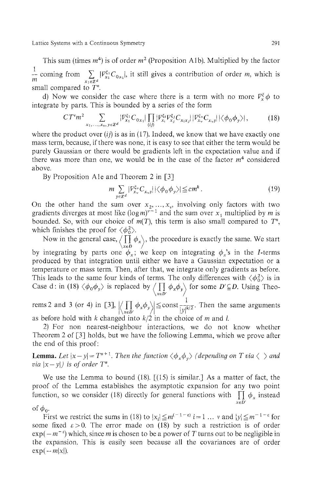This sum (times  $m<sup>4</sup>$ ) is of order  $m<sup>2</sup>$  (Proposition A1b). Multiplied by the factor  $\frac{1}{m}$  coming from  $\sum_{x_1 \in \mathbb{Z}^d} |V^{\xi_1}_{x_1} C_{0x_1}|$ , it still gives a contribution of order m, which is small compared to *T<sup>n</sup> .*

d) Now we consider the case where there is a term with no more  $\nabla^{\xi}_{y} \phi$  to integrate by parts. This is bounded by a series of the form

$$
CT^v m^2 \sum_{x_1, \dots, x_v, y \in \mathbb{Z}^d} |\mathcal{V}_{x_1}^{\xi_1} C_{0x_1}| \prod_{(ij)} |\mathcal{V}_{x_1}^{\xi_1} \mathcal{V}_{x_j}^{\xi_j} C_{x_ix_j}| |\mathcal{V}_{x_v}^{\xi_v} C_{x_v y}| |\langle \phi_0 \phi_y \rangle|, \tag{18}
$$

where the product over  $(ij)$  is as in (17). Indeed, we know that we have exactly one mass term, because, if there was none, it is easy to see that either the term would be purely Gaussian or there would be gradients left in the expectation value and if there was more than one, we would be in the case of the factor  $m<sup>4</sup>$  considered above.

By Proposition Ale and Theorem 2 in [3]

$$
m \sum_{y \in \mathbb{Z}^d} |V_{x_v}^{\xi_v} C_{x_v y}| |\langle \phi_0 \phi_y \rangle| \leq c m^k.
$$
 (19)

On the other hand the sum over  $x_2, ..., x_n$ , involving only factors with two gradients diverges at most like  $(\log m)^{r-1}$  and the sum over  $x_1$  multiplied by m is bounded. So, with our choice of  $m(T)$ , this term is also small compared to  $T<sup>n</sup>$ , which finishes the proof for  $\langle \phi_0^2 \rangle$ .

Now in the general case,  $/$   $/$   $/$   $\phi_{x}$ , the procedure is exactly the same. We start *\xeD I* by integrating by parts one  $\varphi_x$ ; we keep on integrating  $\varphi_x$ s in the *I*-terms produced by that integration until either we have a Gaussian expectation or a temperature or mass term. Then, after that, we integrate only gradients as before. This leads to the same four kinds of terms. The only differences with  $\langle \phi_0^2 \rangle$  is in Case d: in (18)  $\langle \phi_0 \phi_y \rangle$  is replaced by  $\langle \prod_{p} \phi_x \phi_y \rangle$  for some  $D \subseteq D$ . Using Theo *\XGD' I*

rems 2 and 3 (or 4) in [3],  $\left| \left\langle \prod_{x \in D'} \phi_x \phi_y \right\rangle \right| \leq \text{const} \frac{1}{|y|^{k/2}}$ . Then the same arguments as before hold with *k* changed into *k/2* in the choice of *m* and /.

2) For non nearest-neighbour interactions, we do not know whether Theorem 2 of [3] holds, but we have the following Lemma, which we prove after the end of this proof:

**Lemma.** Let  $|x - y| = T^{n+1}$ . Then the function  $\langle \phi_x \phi_y \rangle$  (depending on T via  $\langle \rangle$  and *via*  $|x - y|$ *) is of order T<sup>n</sup>.* 

We use the Lemma to bound (18).  $\lceil (15) \rceil$  is similar. As a matter of fact, the proof of the Lemma establishes the asymptotic expansion for any two point function, so we consider (18) directly for general functions with  $\prod \phi_x$  instead *xeD'*

*oϊφ<sup>0</sup> .*

First we restrict the sums in (18) to  $|x_i| \leq m^{(-1-\epsilon)}$  *i*=1 ... v and  $|y| \leq m^{-1-\epsilon}$  for some fixed  $\varepsilon > 0$ . The error made on (18) by such a restriction is of order  $exp(-m^{-\epsilon})$  which, since *m* is chosen to be a power of *T* turns out to be negligible in the expansion. This is easily seen because all the covariances are of order  $\exp(-m|x|)$ .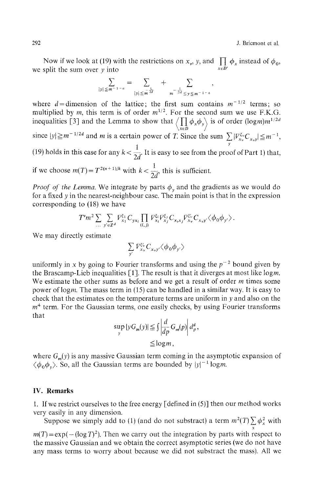Now if we look at (19) with the restrictions on  $x_y$ , y, and  $\iint_{x \in \mathbb{R}^d} \phi_x$  instead of  $\phi_0$ , we split the sum over *y* into

$$
\sum_{|y| \leq m^{-1-\varepsilon}} = \sum_{|y| \leq m^{\frac{1}{2d}}} + \sum_{m^{-\frac{1}{2d}} \leq y \leq m^{-1-\varepsilon}},
$$

where  $d =$ dimension of the lattice; the first sum contains  $m^{-1/2}$  terms; so multiplied by m, this term is of order  $m^{1/2}$ . For the second sum we use F.K.G. inequalities [3] and the Lemma to show that  $\langle 1 | \phi_x \phi_y \rangle$  is of order (logm)m *xeD l/2d* since  $|y| \ge m^{-1/2d}$  and m is a certain power of T. Since the sum  $\sum |V_{x}^{\xi_y}C_{x,y}| \le$  $1 \quad \ldots \quad \ldots \quad \ldots$  $(19)$  holds in this case for any  $k < \frac{1}{2d}$ . It is easy to see from the proof of Part 1) that, if we choose  $m(T) = T^{2(n+1)/k}$  with  $k < \frac{1}{2d}$ , this is sufficient.

*Proof of the Lemma*. We integrate by parts  $\phi_y$  and the gradients as we would do for a fixed *y* in the nearest-neighbour case. The main point is that in the expression corresponding to (18) we have

$$
T^v m^2 \sum_{\cdots} \sum_{y' \in \mathbb{Z}^d} \mathcal{V}^{\xi_1}_{x_1} C_{y x_i} \prod_{(i,j)} \mathcal{V}^{\xi_i}_{x_i} \mathcal{V}^{\xi_j}_{x_j} C_{x_i x_j} \mathcal{V}^{\xi_v'}_{x_v} C_{x_v y'} \langle \phi_0 \phi_{y'} \rangle.
$$

We may directly estimate

$$
\sum_{\mathbf{y}'} {\cal V}^{\xi \prime}_{\mathbf{x} \mathbf{v}} C_{\mathbf{x} \mathbf{v} \mathbf{y}'} \big\langle \phi_0 \phi_{\mathbf{y}'} \big\rangle
$$

uniformly in *x* by going to Fourier transforms and using the *p <sup>2</sup>* bound given by the Brascamp-Lieb inequalities  $[1]$ . The result is that it diverges at most like logm. We estimate the other sums as before and we get a result of order  $m$  times some power of logm. The mass term in (15) can be handled in a similar way. It is easy to check that the estimates on the temperature terms are uniform in *y* and also on the  $m<sup>4</sup>$  term. For the Gaussian terms, one easily checks, by using Fourier transforms that

$$
\sup_{y} |yG_m(y)| \leqq \int \left| \frac{d}{dp} G_m(p) \right| d_p^d,
$$
  

$$
\leqq \log m,
$$

where *G<sup>m</sup> (y)* is any massive Gaussian term coming in the asymptotic expansion of  $\langle \phi_0, \phi_\nu \rangle$ . So, all the Gaussian terms are bounded by  $|y|^{-1}$  logm.

## **IV. Remarks**

1. If we restrict ourselves to the free energy [defined in (5)] then our method works very easily in any dimension.

Suppose we simply add to (1) (and do not substract) a term  $m^2(T) \sum \phi_x^2$  with

*X*  $m(T) = \exp(-(\log T)^2)$ . Then we carry out the integration by parts with respect to the massive Gaussian and we obtain the correct asymptotic series (we do not have any mass terms to worry about because we did not substract the mass). All we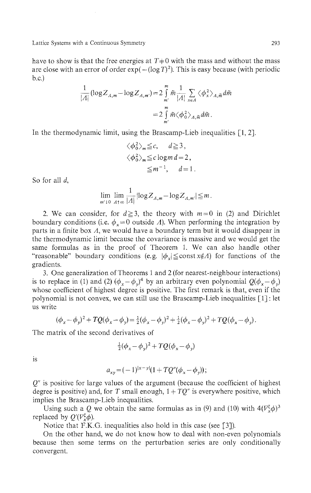have to show is that the free energies at  $T+0$  with the mass and without the mass are close with an error of order  $exp(-(\log T)^2)$ . This is easy because (with periodic b.c.)

$$
\frac{1}{|A|}(\log Z_{A,m} - \log Z_{A,m'}) = 2 \int_{m'}^{m} \tilde{m} \frac{1}{|A|} \sum_{x \in A} \langle \phi_x^2 \rangle_{A,\tilde{m}} d\tilde{m}
$$

$$
= 2 \int_{m'}^{m} \tilde{m} \langle \phi_0^2 \rangle_{A,\tilde{m}} d\tilde{m}.
$$

In the thermodynamic limit, using the Brascamp-Lieb inequalities [1, 2].

$$
\langle \phi_0^2 \rangle_m \le c, \quad d \ge 3,
$$
  

$$
\langle \phi_0^2 \rangle_m \le c \log m \, d = 2,
$$
  

$$
\le m^{-1}, \quad d = 1.
$$

So for all *d,*

$$
\lim_{m' \downarrow 0} \lim_{A \uparrow \infty} \frac{1}{|A|} |\log Z_{A,m} - \log Z_{A,m'}| \leq m.
$$

2. We can consider, for  $d \ge 3$ , the theory with  $m = 0$  in (2) and Dirichlet boundary conditions (i.e.  $\phi_x = 0$  outside  $\Lambda$ ). When performing the integration by parts in a finite box *A,* we would have a boundary term but it would disappear in the thermodynamic limit because the covariance is massive and we would get the same formulas as in the proof of Theorem 1. We can also handle other "reasonable" boundary conditions (e.g.  $|\phi_x| \leq \text{const} x \notin \Lambda$ ) for functions of the gradients.

3. One generalization of Theorems 1 and 2 (for nearest-neighbour interactions) is to replace in (1) and (2)  $(\phi_x - \phi_y)^4$  by an arbitrary even polynomial  $Q(\phi_x - \phi_y)$ whose coefficient of highest degree is positive. The first remark is that, even if the polynomial is not convex, we can still use the Brascamp-Lieb inequalities [1] : let us write

$$
(\phi_x - \phi_y)^2 + TQ(\phi_x - \phi_y) = \frac{1}{2}(\phi_x - \phi_y)^2 + \frac{1}{2}(\phi_x - \phi_y)^2 + TQ(\phi_x - \phi_y).
$$

The matrix of the second derivatives of

$$
\frac{1}{2}(\phi_x - \phi_y)^2 + TQ(\phi_x - \phi_y)
$$

is

$$
a_{xy} = (-1)^{|x-y|} (1 + TQ''(\phi_x - \phi_y));
$$

*Q"* is positive for large values of the argument (because the coefficient of highest degree is positive) and, for T small enough,  $1 + TQ''$  is everywhere positive, which implies the Brascamp-Lieb inequalities.

Using such a Q we obtain the same formulas as in (9) and (10) with  $4(\overline{V_x^{\xi}}\phi)^3$ replaced by  $Q'(V^{\xi}_{\alpha}\phi)$ .

Notice that F.K.G. inequalities also hold in this case (see [3]).

On the other hand, we do not know how to deal with non-even polynomials because then some terms on the perturbation series are only conditionally convergent.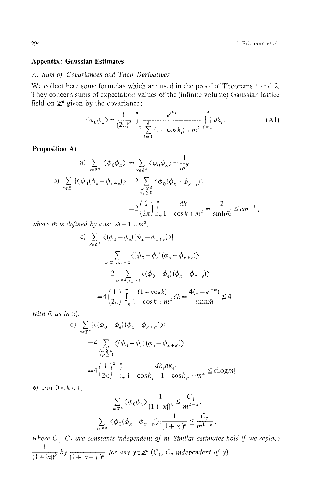### **Appendix: Gaussian Estimates**

## *A. Sum of Covariances and Their Derivatives*

We collect here some formulas which are used in the proof of Theorems 1 and 2. They concern sums of expectation values of the (infinite volume) Gaussian lattice field on  $\mathbb{Z}^d$  given by the covariance:

$$
\langle \phi_0 \phi_x \rangle = \frac{1}{(2\pi)^d} \int_{-\pi}^{\pi} \frac{e^{ikx}}{\sum_{i=1}^d (1 - \cos k_i) + m^2} \prod_{i=1}^d dk_i.
$$
 (A1)

 $\mathbf{a}$ 

#### **Proposition Al**

a) 
$$
\sum_{x \in \mathbb{Z}^d} |\langle \phi_0 \phi_x \rangle| = \sum_{x \in \mathbb{Z}^d} \langle \phi_0 \phi_x \rangle = \frac{1}{m^2}
$$
  
b) 
$$
\sum_{x \in \mathbb{Z}^d} |\langle \phi_0(\phi_x - \phi_{x+e}) \rangle| = 2 \sum_{\substack{x \in \mathbb{Z}^d \\ x_e \ge 0}} \langle \phi_0(\phi_x - \phi_{x+e}) \rangle
$$

$$
= 2 \left(\frac{1}{2\pi}\right) \int_{-\pi}^{\pi} \frac{dk}{1 - \cos k + m^2} = \frac{2}{\sinh \tilde{m}} \le cm^{-1},
$$

*where*  $\tilde{m}$  *is defined by* cosh  $\tilde{m} - 1 = m^2$ .

c) 
$$
\sum_{x \in \mathbb{Z}^d} |\langle (\phi_0 - \phi_e)(\phi_x - \phi_{x+e}) \rangle|
$$
  
\n
$$
= \sum_{x \in \mathbb{Z}^d, x_e = 0} \langle (\phi_0 - \phi_e)(\phi_x - \phi_{x+e}) \rangle
$$
  
\n
$$
-2 \sum_{x \in \mathbb{Z}^d, x_e \ge 1} \langle (\phi_0 - \phi_e)(\phi_x - \phi_{x+e}) \rangle
$$
  
\n
$$
= 4 \left(\frac{1}{2\pi}\right) \int_{-\pi}^{\pi} \frac{(1 - \cos k)}{1 - \cos k + m^2} dk = \frac{4(1 - e^{-\pi k})}{\sinh \pi} \le 4
$$

with  $\tilde{m}$  as in b).

d) 
$$
\sum_{x \in \mathbb{Z}^d} |\langle (\phi_0 - \phi_e)(\phi_x - \phi_{x+e'}) \rangle|
$$
  
=  $4 \sum_{\substack{x_e \leq 0 \\ x_{e'} \geq 0}} \langle (\phi_0 - \phi_e)(\phi_x - \phi_{x+e'}) \rangle$   
=  $4 \left(\frac{1}{2\pi}\right)^2 \int_{-\pi}^{\pi} \frac{dk_e dk_{e'}}{1 - \cos k_e + 1 - \cos k_{e'} + m^2} \leq c |\log m|$ 

e) For  $0 < k < 1$ ,

$$
\sum_{x \in \mathbb{Z}^d} \langle \phi_0 \phi_x \rangle \frac{1}{(1+|x|)^k} \leq \frac{C_1}{m^{2-k}},
$$
  

$$
\sum_{x \in \mathbb{Z}^d} |\langle \phi_0(\phi_x - \phi_{x+e}) \rangle| \frac{1}{(1+|x|)^k} \leq \frac{C_2}{m^{1-k}},
$$

where  $C_1, C_2$  are constants independent of m. Similar estimates hold if we replace  $(1+|x|)^{k}$  *by*  $(1+|x-y|)^{k}$  *for any*  $y \in \mathbb{Z}$  (C<sub>1</sub>, C<sub>2</sub> *independent of y*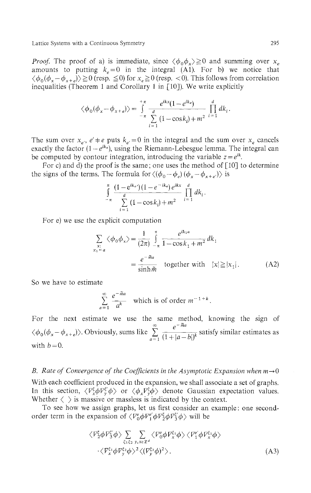*Proof.* The proof of a) is immediate, since  $\langle \phi_0 \phi_x \rangle \ge 0$  and summing over  $x_e$ amounts to putting  $k_e = 0$  in the integral  $(A1)$ . For b) we notice that  $\langle \phi_0(\phi_x - \phi_{x+e}) \rangle \ge 0$  (resp.  $\le 0$ ) for  $x_e \ge 0$  (resp. <0). This follows from correlation inequalities (Theorem 1 and Corollary 1 in  $\lceil 10 \rceil$ ). We write explicitly

$$
\langle \phi_0(\phi_x - \phi_{x+e}) \rangle = \int_{-\pi}^{+\pi} \frac{e^{ikx}(1 - e^{ike})}{\sum_{i=1}^d (1 - \cos k_i) + m^2} \prod_{i=1}^d dk_i.
$$

The sum over  $x_e$ ,  $e' \neq e$  puts  $k_e = 0$  in the integral and the sum over  $x_e$  cancels exactly the factor  $(1 - e^{ik_e})$ , using the Riemann-Lebesgue lemma. The integral can be computed by contour integration, introducing the variable  $z = e^{ik}$ .

For c) and d) the proof is the same; one uses the method of [10] to determine the signs of the terms. The formula for  $\langle (\phi_0 - \phi_e) (\phi_x - \phi_{x+e'}) \rangle$  is

$$
\int_{-\pi}^{\pi} \frac{(1 - e^{ik_e})(1 - e^{-ik_e})e^{ik_x}}{\sum_{i=1}^{d} (1 - \cos k_i) + m^2} \prod_{i=1}^{d} dk_i.
$$

For e) we use the explicit computation

$$
\sum_{\substack{x:\text{ s.t. } x_1 = a}} \langle \phi_0 \phi_x \rangle = \frac{1}{(2\pi)} \int_{-\pi}^{\pi} \frac{e^{ik_1 a}}{1 - \cos k_1 + m^2} dk_1
$$
\n
$$
= \frac{e^{-\tilde{m}a}}{\sinh \tilde{m}} \quad \text{together with} \quad |x| \ge |x_1| \,. \tag{A2}
$$

So we have to estimate

$$
\sum_{a=1}^{\infty} \frac{e^{-\tilde{m}a}}{a^k}
$$
 which is of order  $m^{-1+k}$ .

For the next estimate we use the same method, knowing the sign of  $\langle \phi_{0}(\phi_{x} - \phi_{x+e}) \rangle$ . Obviously, sums like  $\sum_{i=1}^{\infty} \frac{e^{-\tilde{m}a}}{i! \sqrt{1+|a|}}$  satisfy similar estimates as  $a=1$   $(1 + |a - b|)^n$ with  $b = 0$ .

#### *B.* Rate of Convergence of the Coefficients in the Asymptotic Expansion when  $m\rightarrow 0$

With each coefficient produced in the expansion, we shall associate a set of graphs. In this section,  $\langle V_x^{\xi} \phi V_y^{\xi'} \phi \rangle$  or  $\langle \phi_x V_y^{\xi} \phi \rangle$  denote Gaussian expectation values. Whether  $\langle \rangle$  is massive or massless is indicated by the context.

To see how we assign graphs, let us first consider an example: one second order term in the expansion of  $\langle V^e_{0} \phi V^e_{1} \phi V^{\xi}_{2} \phi V^{\xi}_{3} \phi \rangle$  will be

$$
\langle \nabla_{2}^{\xi} \phi \nabla_{3}^{\xi'} \phi \rangle \sum_{\xi_{1} \xi_{2}} \sum_{y, x \in \mathbb{Z}^{d}} \langle \nabla_{0}^{\epsilon} \phi \nabla_{x}^{\xi_{1}} \phi \rangle \langle \nabla_{1}^{\epsilon'} \phi \nabla_{x}^{\xi_{1}} \phi \rangle
$$
  
 
$$
\cdot \langle \nabla_{x}^{\xi_{1}} \phi \nabla_{y}^{\xi_{2}} \phi \rangle^{2} \langle (\nabla_{y}^{\xi_{2}} \phi)^{2} \rangle.
$$
 (A3)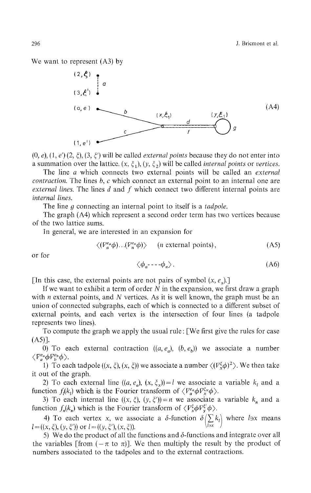We want to represent (A3) by



(0, *e),* (1, *e')* (2, *ξ),* (3, *ξ)* will be called *external points* because they do not enter into a summation over the lattice.  $(x, \xi_1)$ ,  $(y, \xi_2)$  will be called *internal points* or *vertices*.

The line *a* which connects two external points will be called an *external contraction.* The lines *b, c* which connect an external point to an internal one are *external lines.* The lines *d* and / which connect two different internal points are *internal lines.*

The line *g* connecting an internal point to itself is a *tadpole.*

The graph (A4) which represent a second order term has two vertices because of the two lattice sums.

In general, we are interested in an expansion for

$$
\langle (V_a^{e_a} \phi) \dots (V_n^{e_n} \phi) \rangle \qquad (n \text{ external points}), \qquad (A5)
$$

or for

$$
\langle \phi_a \text{-} \text{-} \text{-} \phi_n \rangle. \tag{A6}
$$

[In this case, the external points are not pairs of symbol  $(x, e_x)$ .]

If we want to exhibit a term of order *N* in the expansion, we first draw a graph with *n* external points, and *N* vertices. As it is well known, the graph must be an union of connected subgraphs, each of which is connected to a different subset of external points, and each vertex is the intersection of four lines (a tadpole represents two lines).

To compute the graph we apply the usual rule: [We first give the rules for case (A5)].

0) To each external contraction ((α, *e<sup>a</sup> ), (b, e<sup>b</sup> ))* we associate a number  $\langle V^{e_a}_a \phi V^{e_b}_b \phi \rangle$ 

1) To each tadpole ((x, *ξ),* (x, *ξ))* we associate a number *{(V <sup>x</sup>φ)<sup>2</sup> }.* We then take it out of the graph.

2) To each external line  $((a, e_a), (x, \zeta_x)) = i$  we associate a variable  $\kappa_i$  and a function  $f_k(k_j)$  which is the Fourier transform of  $\langle V_a^a \phi V_x^x \phi \rangle$ .

3) To each internal line  $((x, \xi), (y, \xi')) = n$  we associate a variable  $k_n$  and a function  $f_n(x_n)$  which is the Fourier transform of  $\langle Y_x \psi Y_y \psi \rangle$ .  $n(n)$ 

4) To each vertex x, we associate a  $\delta$ -function  $\delta(\sum_k k_i)$  where  $l \ni x$  means  $l = ((x, \zeta), (y, \zeta))$  or  $l = ((y, \zeta))$  $(x, \zeta)$ ).  $(x, \zeta)$ 

5) We do the product of all the functions and  $\delta$ -functions and integrate over all the variables [from  $(-\pi \text{ to } \pi)$ ]. We then multiply the result by the product of numbers associated to the tadpoles and to the external contractions.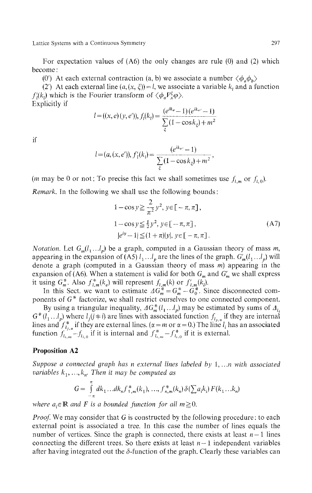For expectation values of (A6) the only changes are rule (0) and (2) which become :

(0') At each external contraction (a, b) we associate a number  $\langle \phi_a \phi_b \rangle$ 

*(2')* At each external line  $(a, (x, \xi)) = l$ , we associate a variable  $k_t$  and a function *f'*<sub>*(k<sub>l</sub></sub>)</sub> which is the Fourier transform of*  $\langle \phi_a F^{\xi}_x \phi \rangle$ *.</sub>* Explicitly if

$$
l = ((x, e)(y, e')), f_l(k_l) = \frac{(e^{ik_e} - 1)(e^{ik_{e'}} - 1)}{\sum_{\xi} (1 - \cos k_{\xi}) + m^2}
$$

if

$$
l = (a, (x, e')), f'_{1}(k_{i}) = \frac{(e^{ik_{e'}} - 1)}{\sum_{\xi} (1 - \cos k_{\xi}) + m^{2}},
$$

(*m* may be 0 or not; To precise this fact we shall sometimes use  $f_{l,m}$  or  $f_{l,0}$ )

*Remark.* In the following we shall use the following bounds:

$$
1 - \cos y \ge \frac{2}{\pi^2} y^2, \, y \in [-\pi, \pi],
$$
  
\n
$$
1 - \cos y \le \frac{1}{2} y^2, \, y \in [-\pi, \pi],
$$
  
\n
$$
|e^{iy} - 1| \le (1 + \pi)|y|, \, y \in [-\pi, \pi].
$$
\n(A7)

*Notation.* Let  $G_m(l_1...l_p)$  be a graph, computed in a Gaussian theory of mass m, appearing in the expansion of (A5)  $l_1...l_p$  are the lines of the graph.  $G'_m(l_1...l_p)$  will denote a graph (computed in a Gaussian theory of mass *m)* appearing in the expansion of (A6). When a statement is valid for both *G<sup>m</sup>* and *G'<sup>m</sup>* we shall express it using  $G_m^*$ . Also  $f_{l,m}^*(k_e)$  will represent  $f_{l,m}(k)$  or  $f'_{l,m}(k_i)$ .

In this Sect, we want to estimate  $\Delta G_m^* = G_m^* - G_0^*$ . Since disconnected com ponents of  $G^*$  factorize, we shall restrict ourselves to one connected component.

By using a triangular inequality,  $AG_{m}^{*}(l_{1}...l_{p})$  may be estimated by sums of  $\varDelta_{l_{i}}$  $G^*(l_1...l_p)$  where  $l_i(j\neq i)$  are lines with associated function  $f_{l_i}$  if they are internal lines and  $f_{l_{i,\alpha}}^*$  if they are external lines. ( $\alpha = m$  or  $\alpha = 0$ .) The line  $l_i$  has an associated function  $f_{l_{1},m} - f_{l_{i,0}}$  if it is internal and  $f_{l_{1},m}^{*} - f_{l_{i,0}}^{*}$  if it is external

## **Proposition A2**

*Suppose a connected graph has n external lines labeled by* 1, *...n with associated variables*  $k_1, ..., k_n$ *. Then it may be computed as* 

$$
G = \int_{-\pi}^{\pi} dk_1 \dots dk_n f_{1,m}^*(k_1), \dots, f_{n,m}^*(k_n) \, \delta(\sum a_i k_i) \, F(k_1 \dots k_n)
$$

*where*  $a_i \in \mathbb{R}$  and F is a bounded function for all  $m \ge 0$ .

*Proof.* We may consider that G is constructed by the following procedure: to each external point is associated a tree. In this case the number of lines equals the number of vertices. Since the graph is connected, there exists at least  $n-1$  lines connecting the different trees. So there exists at least  $n-1$  independent variables after having integrated out the  $\delta$ -function of the graph. Clearly these variables can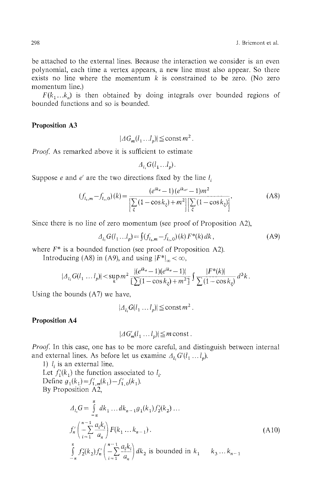be attached to the external lines. Because the interaction we consider is an even polynomial, each time a vertex appears, a new line must also appear. So there exists no line where the momentum  $k$  is constrained to be zero. (No zero momentum line.)

 $F(k_1...k_n)$  is then obtained by doing integrals over bounded regions of bounded functions and so is bounded.

#### **Proposition A3**

 $| \Delta G_m(l_1...l_p) | \leq \text{const } m^2$ .

*Proof.* As remarked above it is sufficient to estimate

$$
\varDelta_{l_1}G(l_1...l_p).
$$

Suppose  $e$  and  $e'$  are the two directions fixed by the line  $l_i$ 

$$
(f_{l_{\rm t},m} - f_{l_{\rm t},0})(k) = \frac{(e^{ik_e} - 1)(e^{ik_{\rm e}t} - 1)m^2}{\left[\sum_{\xi} (1 - \cos k_{\xi}) + m^2\right] \left[\sum_{\xi} (1 - \cos k_{\xi})\right]}.
$$
 (A8)

Since there is no line of zero momentum (see proof of Proposition A2),

$$
\Delta_{l_i} G(l_1...l_p) = \int (f_{l_i,m} - f_{l_i,0})(k) F^*(k) dk,
$$
\n(A9)

\nwhere  $F^*$  is a bounded function (see proof of Proposition A2)

where  $F^*$  is a bounded function (see proof of Proposition A2).<br>Introducing (A8) in (A9) and using  $|F^*| < \infty$ .

Introducing (A6) in (A9), and using  $\frac{1}{4}$   $\frac{1}{\infty}$   $\infty$ ,

$$
|{\varDelta}_{l_i} G(l_1 \ldots l_p)| \! < \! \sup_k m^2 \frac{|(e^{ik_e}-1)(e^{ik_e}-1)|}{\left[\sum (1-\cos k_\xi) + m^2\right]} \int \frac{|F^*(k)|}{\sum (1-\cos k_\xi)} \, d^3k \, .
$$

Using the bounds (A7) we have,

 $|A_{l_i} G(l_1 \dots l_p)| \leq \text{const} \, m^2$ .

## **Proposition A4**

$$
|AG'_m(l_1 \dots l_n)| \leq m \text{ const.}
$$

*Proof.* In this case, one has to be more careful, and distinguish between internal and external lines. As before let us examine  $\Delta_{l_i} G'(l_1 \dots l_p)$ .

1)  $l_i$  is an external line. Let  $f'_1(k_1)$  the function associated to  $l_i$ . By Proposition A2,

$$
A_{l_1}G = \int_{-\pi}^{\pi} dk_1 \dots dk_{n-1} g_1(k_1) f'_2(k_2) \dots
$$
  
\n
$$
f'_n \left( -\sum_{i=1}^{n-1} \frac{a_i k_i}{a_n} \right) F(k_1 \dots k_{n-1}).
$$
  
\n
$$
\int_{-\pi}^{\pi} f'_2(k_2) f'_n \left( -\sum_{i=1}^{n-1} \frac{a_i k_i}{a_n} \right) dk_2 \text{ is bounded in } k_1 \quad k_3 \dots k_{n-1}
$$
  
\n(A10)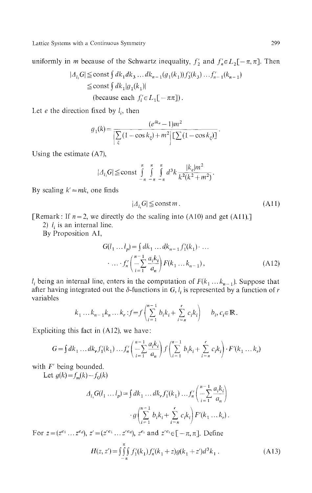uniformly in *m* because of the Schwartz inequality,  $f'_2$  and  $f'_n \in L_2[-\pi, \pi]$ . Then

$$
|A_{l_i}G| \le \text{const} \int dk_1 dk_3 \dots dk_{n-1} (g_1(k_1)) f'_3(k_3) \dots f'_{n-1}(k_{n-1})
$$
  
\n
$$
\le \text{const} \int dk_1 |g_1(k_1)|
$$
  
\n(because each  $f'_i \in L_1[-\pi\pi]$ ).

Let  $e$  the direction fixed by  $l_i$ , then

$$
g_1(k) = \frac{(e^{ik_e}-1)m^2}{\left[\sum_{\xi}(1-\cos k_{\xi})+m^2\right]\left[\sum_{k=1}(1-\cos k_{\xi})\right]}
$$

Using the estimate (A7),

$$
|A_{l_i}G| \leq \text{const} \int_{-\pi}^{\pi} \int_{-\pi}^{\pi} \int_{-\pi}^{\pi} d^3k \, \frac{|k_e|m^2}{k^2(k^2 + m^2)}
$$

By scaling  $k' = mk$ , one finds

$$
|A_{l_i}G| \leq \text{const } m. \tag{A11}
$$

[Remark: If  $n=2$ , we directly do the scaling into (A10) and get (A11).]

2)  $l_i$  is an internal line.

By Proposition Al,

$$
G(l_1 \dots l_p) = \int dk_1 \dots dk_{n-1} f'_1(k_1) \dots
$$
  
 
$$
\dots \cdot f'_n \left( \frac{n-1}{2} \frac{a_i k_i}{a_n} \right) F(k_1 \dots k_{n-1}),
$$
 (A12)

 $l_i$  being an internal line, enters in the computation of  $F(k_1 \dots k_{n-1})$ . Suppose that after having integrated out the  $\delta$ -functions in G,  $l_i$  is represented by a function of *r* variables

$$
k_1 \dots k_{n-1} k_n \dots k_r : f = f\left(\sum_{i=1}^{n-1} b_i k_i + \sum_{i=n}^r c_i k_i\right) \quad b_i, c_i \in \mathbb{R}
$$

Expliciting this fact in (A12), we have:

$$
G = \int dk_1 \dots dk_r f_1'(k_1) \dots f_n'\left(\frac{n-1}{i-1} \frac{a_i k_i}{a_n}\right) f\left(\sum_{i=1}^{n-1} b_i k_i + \sum_{i=n}^r c_i k_i\right) \cdot F'(k_1 \dots k_r)
$$

with *F'* being bounded.

Let  $g(k) = f_m(k) - f_0(k)$ 

$$
A_{l_1}G(l_1 \dots l_p) = \int dk_1 \dots dk_r f'_1(k_1) \dots f'_n \left( \frac{n-1}{n-1} \frac{a_i k_i}{a_n} \right)
$$

$$
\cdot g \left( \sum_{i=1}^{n-1} b_i k_i + \sum_{i=n}^r c_i k_i \right) F'(k_1 \dots k_r) \, .
$$

For  $z = (z^{e_1} \dots z^{e_d})$ ,  $z' = (z'^{e_1} \dots z'^{e_d})$ ,  $z^{e_1}$  and  $z'^{e_1} \in [-\pi, \pi]$ . Define

$$
H(z, z') = \iiint_{-\pi}^{\pi} f_1'(k_1) f_n'(k_1 + z) g(k_1 + z') d^3 k_1.
$$
 (A13)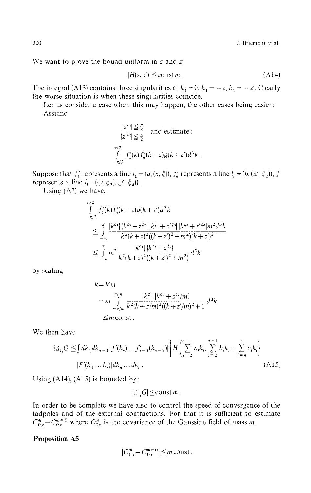We want to prove the bound uniform in *z* and *z!*

$$
|H(z, z')| \leq \text{const } m \,. \tag{A14}
$$

The integral (A13) contains three singularities at  $k_1 = 0$ ,  $k_1 = -z$ ,  $k_1 = -z'$ . Clearly the worse situation is when these singularities coincide.

Let us consider a case when this may happen, the other cases being easier: Assume

$$
|z^{e_i}| \leq \frac{\pi}{2}
$$
 and estimate:  
\n
$$
|z'^{e_i}| \leq \frac{\pi}{2}
$$
  
\n
$$
\int_{-\pi/2}^{\pi/2} f'_1(k) f'_n(k+z) g(k+z') d^3k.
$$

Suppose that  $f'_1$  represents a line  $l_1 = (a, (x, \xi))$ ,  $f'_n$  represents a line  $l_n = (b, (x', \xi_2))$ , f represents a line  $l_i = ((y, \xi_3), (y', \xi_4))$ .

Using (A7) we have,

$$
\int_{-\pi/2}^{\pi/2} f_1'(k) f_n'(k+z) g(k+z') d^3k
$$
\n
$$
\leq \int_{-\pi}^{\pi} \frac{|k^{\xi_1}| |k^{\xi_2} + z^{\xi_2}| |k^{\xi_3} + z'^{\xi_3}| |k^{\xi_4} + z'^{\xi_4}| m^2 d^3k}{k^2 (k+z)^2 ((k+z')^2 + m^2)(k+z')^2}
$$
\n
$$
\leq \int_{-\pi}^{\pi} m^2 \frac{|k^{\xi_1}| |k^{\xi_2} + z^{\xi_2}|}{k^2 (k+z)^2 ((k+z')^2 + m^2)} d^3k
$$

by scaling

$$
k = k'm
$$
  
=  $m \int_{-\pi/m}^{\pi/m} \frac{|k^{\xi_1}| |k^{\xi_2} + z^{\xi_2}/m|}{k^2(k + z/m)^2((k + z/m)^2 + 1)} d^3k$   
  $\leq m \text{ const.}$ 

We then have

$$
|A_{l_i}G| \leq \int dk_1 dk_{n-1} |f'(k_e) ... f'_{n-1}(k_{n-1})| \left| H \left( \sum_{i=2}^{n-1} a_i k_i, \sum_{i=2}^{n-1} b_i k_i + \sum_{i=n}^{r} c_i k_i \right) \right|
$$
  

$$
|F'(k_1 ... k_r)| dk_n ... dk_r.
$$
 (A15)

Using  $(A14)$ ,  $(A15)$  is bounded by:

 $|A, G| \leq$ const m.

In order to be complete we have also to control the speed of convergence of the tadpoles and of the external contractions. For that it is sufficient to estimate  $C_{0x}^{m} - C_{0x}^{m=0}$  where  $C_{0x}^{m}$  is the covariance of the Gaussian field of mass m.

## **Proposition A5**

$$
|C_{0x}^m - C_{0x}^{m=0}| \leq m \operatorname{const}.
$$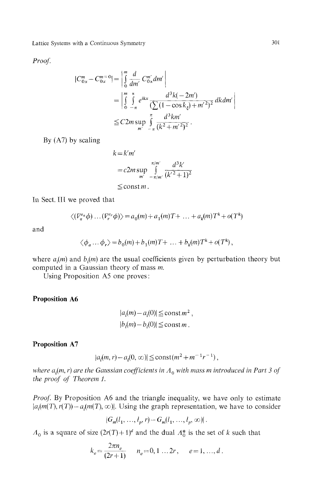*Proof*

$$
\begin{split} |C_{0x}^{m} - C_{0x}^{m=0}| &= \left| \int_{0}^{m} \frac{d}{dm'} C_{0x}^{m'} dm' \right| \\ &= \left| \int_{0}^{m} \int_{-\pi}^{\pi} e^{ikx} \frac{d^{3}k(-2m')}{\left(\sum(1-\cos k_{\xi}) + m'^{2}\right)^{2}} \, dk \, dm' \right| \\ &\leq C2m \sup_{m'} \int_{-\pi}^{\pi} \frac{d^{3}km'}{(k^{2} + m'^{2})^{2}} \, . \end{split}
$$

By (A7) by scaling

$$
k = k'm'
$$
  
=  $c2m \sup_{m'} \int_{-\pi/m'}^{\pi/m'} \frac{d^3k'}{(k'^2+1)^2}$   
 $\leq$  const m.

In Sect. Ill we proved that

$$
\langle (V_a^{e_a}\phi) \dots (V_r^{e_r}\phi) \rangle = a_0(m) + a_1(m)T + \dots + a_k(m)T^k + o(T^k)
$$

and

$$
\langle \phi_a \dots \phi_r \rangle = b_0(m) + b_1(m)T + \dots + b_k(m)T^k + o(T^k),
$$

where  $a_i(m)$  and  $b_i(m)$  are the usual coefficients given by perturbation theory but computed in a Gaussian theory of mass *m.*

Using Proposition A5 one proves:

## **Proposition A6**

$$
|a_i(m) - a_i(0)| \leq \operatorname{const} m^2,
$$
  

$$
|b_i(m) - b_i(0)| \leq \operatorname{const} m.
$$

#### **Proposition A7**

$$
|a_i(m,r) - a_i(0,\infty)| \leq \text{const}(m^2 + m^{-1}r^{-1}),
$$

where  $a^{\,}_i$ (m, r) are the Gaussian coefficients in  $\varLambda^{}_0$  with mass m introduced in Part 3 of *the proof of Theorem ί.*

*Proof.* By Proposition A6 and the triangle inequality, we have only to estimate  $|a_i(m(T), r(T)) - a_i(m(T), \infty)|$ . Using the graph representation, we have to consider

$$
|G_m(l_1, ..., l_p, r) - G_m(l_1, ..., l_p, \infty)|.
$$

 $a_0$  is a square of size  $(2r(T) + 1)^d$  and the dual  $\Lambda_0^*$  is the set of k such that

$$
k_e = \frac{2\pi n_e}{(2r+1)} \qquad n_e = 0, 1 \dots 2r, \qquad e = 1, \dots, d.
$$